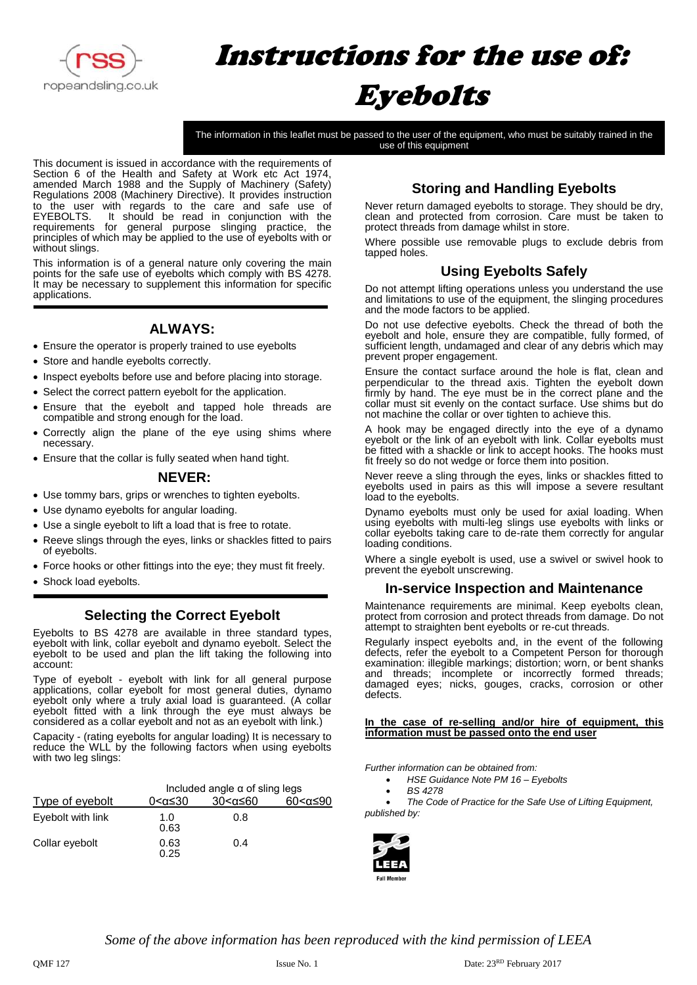

# Instructions for the use of: Eyebolts

The information in this leaflet must be passed to the user of the equipment, who must be suitably trained in the use of this equipment

This document is issued in accordance with the requirements of Section 6 of the Health and Safety at Work etc Act 1974, amended March 1988 and the Supply of Machinery (Safety) Regulations 2008 (Machinery Directive). It provides instruction to the user with regards to the care and safe use of EYEBOLTS. It should be read in conjunction with the requirements for general purpose slinging practice, the principles of which may be applied to the use of eyebolts with or without slings.

This information is of a general nature only covering the main points for the safe use of eyebolts which comply with BS 4278. It may be necessary to supplement this information for specific applications.

## **ALWAYS:**

- Ensure the operator is properly trained to use eyebolts
- Store and handle eyebolts correctly.
- Inspect eyebolts before use and before placing into storage.
- Select the correct pattern eyebolt for the application.
- Ensure that the eyebolt and tapped hole threads are compatible and strong enough for the load.
- Correctly align the plane of the eye using shims where necessary.
- Ensure that the collar is fully seated when hand tight.

## **NEVER:**

- Use tommy bars, grips or wrenches to tighten eyebolts.
- Use dynamo eyebolts for angular loading.
- Use a single eyebolt to lift a load that is free to rotate.
- Reeve slings through the eyes, links or shackles fitted to pairs of eyebolts.
- Force hooks or other fittings into the eye; they must fit freely.
- Shock load eyebolts.

## **Selecting the Correct Eyebolt**

Eyebolts to BS 4278 are available in three standard types, eyebolt with link, collar eyebolt and dynamo eyebolt. Select the eyebolt to be used and plan the lift taking the following into account:

Type of eyebolt - eyebolt with link for all general purpose applications, collar eyebolt for most general duties, dynamo eyebolt only where a truly axial load is guaranteed. (A collar eyebolt fitted with a link through the eye must always be considered as a collar eyebolt and not as an eyebolt with link.)

Capacity - (rating eyebolts for angular loading) It is necessary to reduce the WLL by the following factors when using eyebolts with two leg slings:

| Type of eyebolt   | Included angle $\alpha$ of sling legs |             |                |
|-------------------|---------------------------------------|-------------|----------------|
|                   | 0<α≤30                                | 30 < α ≤ 60 | $60<\alpha≤90$ |
| Eyebolt with link | 1.0<br>0.63                           | 0.8         |                |
| Collar eyebolt    | 0.63<br>0.25                          | 0.4         |                |

# **Storing and Handling Eyebolts**

Never return damaged eyebolts to storage. They should be dry, clean and protected from corrosion. Care must be taken to protect threads from damage whilst in store.

Where possible use removable plugs to exclude debris from tapped holes.

## **Using Eyebolts Safely**

Do not attempt lifting operations unless you understand the use and limitations to use of the equipment, the slinging procedures and the mode factors to be applied.

Do not use defective eyebolts. Check the thread of both the eyebolt and hole, ensure they are compatible, fully formed, of sufficient length, undamaged and clear of any debris which may prevent proper engagement.

Ensure the contact surface around the hole is flat, clean and perpendicular to the thread axis. Tighten the eyebolt down firmly by hand. The eye must be in the correct plane and the collar must sit evenly on the contact surface. Use shims but do not machine the collar or over tighten to achieve this.

A hook may be engaged directly into the eye of a dynamo eyebolt or the link of an eyebolt with link. Collar eyebolts must be fitted with a shackle or link to accept hooks. The hooks must fit freely so do not wedge or force them into position.

Never reeve a sling through the eyes, links or shackles fitted to eyebolts used in pairs as this will impose a severe resultant load to the eyebolts.

Dynamo eyebolts must only be used for axial loading. When using eyebolts with multi-leg slings use eyebolts with links or collar eyebolts taking care to de-rate them correctly for angular loading conditions.

Where a single eyebolt is used, use a swivel or swivel hook to prevent the eyebolt unscrewing.

## **In-service Inspection and Maintenance**

Maintenance requirements are minimal. Keep eyebolts clean, protect from corrosion and protect threads from damage. Do not attempt to straighten bent eyebolts or re-cut threads.

Regularly inspect eyebolts and, in the event of the following defects, refer the eyebolt to a Competent Person for thorough examination: illegible markings; distortion; worn, or bent shanks and threads; incomplete or incorrectly formed threads; damaged eyes; nicks, gouges, cracks, corrosion or other defects.

#### **In the case of re-selling and/or hire of equipment, this information must be passed onto the end user**

*Further information can be obtained from:*

- *HSE Guidance Note PM 16 – Eyebolts*
- *BS 4278*

• *The Code of Practice for the Safe Use of Lifting Equipment, published by:*



*Some of the above information has been reproduced with the kind permission of LEEA*